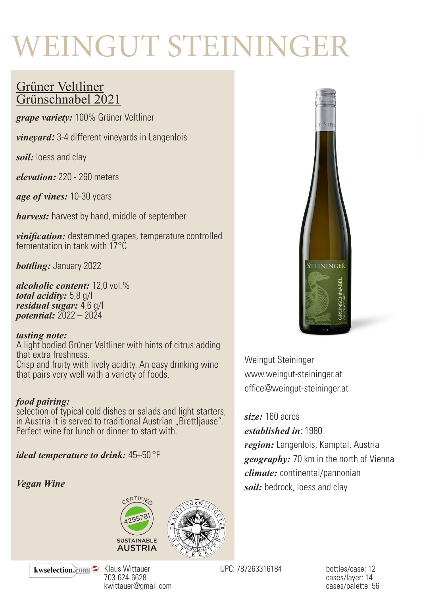# WEINGUT STEININGER

## Grüner Veltliner Grünschnabel 2021

*grape variety:* 100% Grüner Veltliner

*vineyard:* 3-4 different vineyards in Langenlois

*soil:* loess and clay

*elevation:* 220 - 260 meters

*age of vines:* 10-30 years

*harvest:* harvest by hand, middle of september

*vinification:* destemmed grapes, temperature controlled fermentation in tank with  $17^{\circ}$ C

*bottling:* January 2022

*alcoholic content:* 12,0 vol.% *total acidity:* 5,8 g/l *residual sugar:* 4,6 g/l *potential:* 2022 – 2024

#### *tasting note:*

A light bodied Grüner Veltliner with hints of citrus adding that extra freshness. Crisp and fruity with lively acidity. An easy drinking wine that pairs very well with a variety of foods.

#### *food pairing:*

selection of typical cold dishes or salads and light starters, in Austria it is served to traditional Austrian "Brettliause". Perfect wine for lunch or dinner to start with.

*ideal temperature to drink:* 45–50 °F

#### *Vegan Wine*







Weingut Steininger www.weingut-steininger.at office@weingut-steininger.at

#### *size:* 160 acres

*established in*: 1980

*region:* Langenlois, Kamptal, Austria *geography:* 70 km in the north of Vienna *climate:* continental/pannonian *soil:* bedrock, loess and clay

kwselection.com

Klaus Wittauer 703-624-6628 kwittauer@gmail.com

UPC: 787263316184 bottles/case: 12

cases/layer: 14 cases/palette: 56